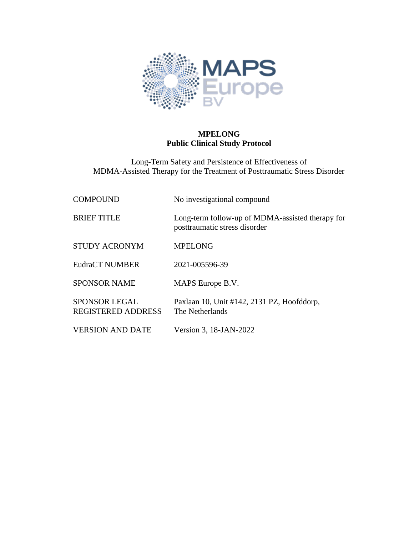

# **MPELONG Public Clinical Study Protocol**

Long-Term Safety and Persistence of Effectiveness of MDMA-Assisted Therapy for the Treatment of Posttraumatic Stress Disorder

| <b>COMPOUND</b>                                   | No investigational compound                                                       |
|---------------------------------------------------|-----------------------------------------------------------------------------------|
| <b>BRIEF TITLE</b>                                | Long-term follow-up of MDMA-assisted therapy for<br>posttraumatic stress disorder |
| <b>STUDY ACRONYM</b>                              | <b>MPELONG</b>                                                                    |
| <b>EudraCT NUMBER</b>                             | 2021-005596-39                                                                    |
| <b>SPONSOR NAME</b>                               | MAPS Europe B.V.                                                                  |
| <b>SPONSOR LEGAL</b><br><b>REGISTERED ADDRESS</b> | Paxlaan 10, Unit #142, 2131 PZ, Hoofddorp,<br>The Netherlands                     |
| <b>VERSION AND DATE</b>                           | Version 3, 18-JAN-2022                                                            |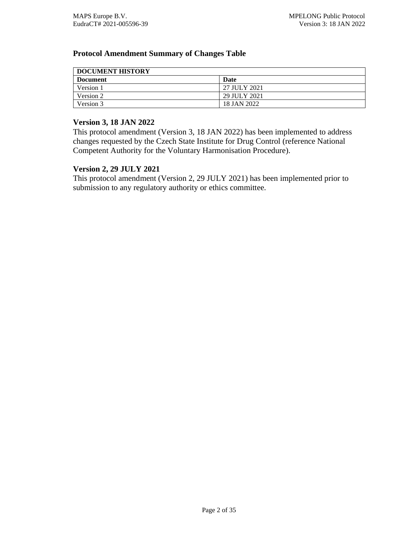## <span id="page-1-0"></span>**Protocol Amendment Summary of Changes Table**

| <b>DOCUMENT HISTORY</b> |              |  |
|-------------------------|--------------|--|
| <b>Document</b>         | <b>Date</b>  |  |
| Version 1               | 27 JULY 2021 |  |
| Version 2               | 29 JULY 2021 |  |
| Version 3               | 18 JAN 2022  |  |

#### **Version 3, 18 JAN 2022**

This protocol amendment (Version 3, 18 JAN 2022) has been implemented to address changes requested by the Czech State Institute for Drug Control (reference National Competent Authority for the Voluntary Harmonisation Procedure).

#### **Version 2, 29 JULY 2021**

This protocol amendment (Version 2, 29 JULY 2021) has been implemented prior to submission to any regulatory authority or ethics committee.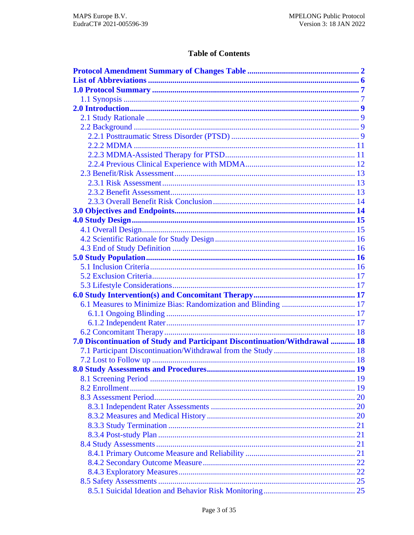# **Table of Contents**

| 7.0 Discontinuation of Study and Participant Discontinuation/Withdrawal  18 |  |
|-----------------------------------------------------------------------------|--|
|                                                                             |  |
|                                                                             |  |
|                                                                             |  |
|                                                                             |  |
|                                                                             |  |
|                                                                             |  |
|                                                                             |  |
|                                                                             |  |
|                                                                             |  |
|                                                                             |  |
|                                                                             |  |
|                                                                             |  |
|                                                                             |  |
|                                                                             |  |
|                                                                             |  |
|                                                                             |  |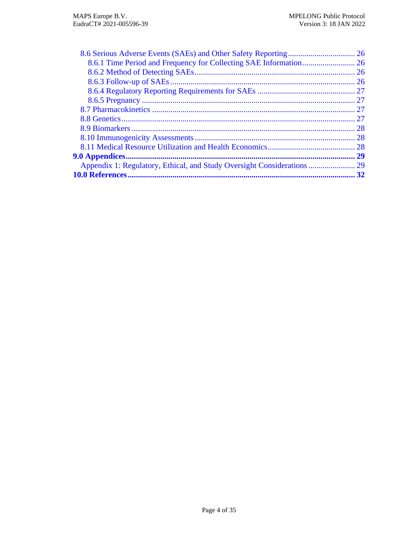| 32 |
|----|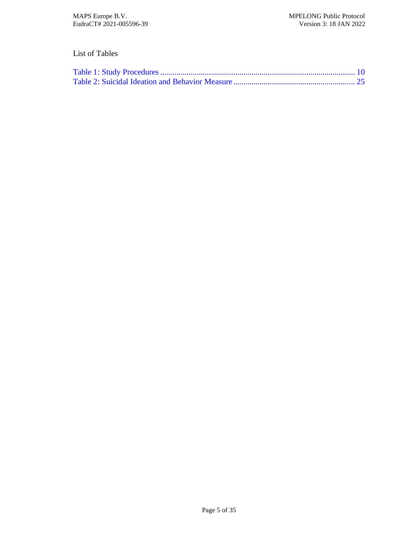# List of Tables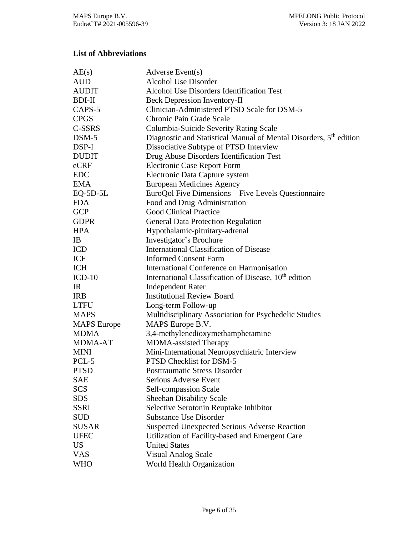# <span id="page-5-0"></span>**List of Abbreviations**

| AE(s)              | Adverse Event(s)                                                               |
|--------------------|--------------------------------------------------------------------------------|
| <b>AUD</b>         | <b>Alcohol Use Disorder</b>                                                    |
| <b>AUDIT</b>       | <b>Alcohol Use Disorders Identification Test</b>                               |
| BDI-II             | <b>Beck Depression Inventory-II</b>                                            |
| CAPS-5             | Clinician-Administered PTSD Scale for DSM-5                                    |
| <b>CPGS</b>        | Chronic Pain Grade Scale                                                       |
| C-SSRS             | Columbia-Suicide Severity Rating Scale                                         |
| $DSM-5$            | Diagnostic and Statistical Manual of Mental Disorders, 5 <sup>th</sup> edition |
| DSP-I              | Dissociative Subtype of PTSD Interview                                         |
| <b>DUDIT</b>       | Drug Abuse Disorders Identification Test                                       |
| eCRF               | <b>Electronic Case Report Form</b>                                             |
| <b>EDC</b>         | Electronic Data Capture system                                                 |
| <b>EMA</b>         | <b>European Medicines Agency</b>                                               |
| $EQ-5D-5L$         | EuroQol Five Dimensions - Five Levels Questionnaire                            |
| <b>FDA</b>         | Food and Drug Administration                                                   |
| <b>GCP</b>         | <b>Good Clinical Practice</b>                                                  |
| <b>GDPR</b>        | <b>General Data Protection Regulation</b>                                      |
| <b>HPA</b>         | Hypothalamic-pituitary-adrenal                                                 |
| <b>IB</b>          | Investigator's Brochure                                                        |
| ICD                | <b>International Classification of Disease</b>                                 |
| ICF                | <b>Informed Consent Form</b>                                                   |
| <b>ICH</b>         | International Conference on Harmonisation                                      |
| $ICD-10$           | International Classification of Disease, 10 <sup>th</sup> edition              |
| IR                 | <b>Independent Rater</b>                                                       |
| <b>IRB</b>         | <b>Institutional Review Board</b>                                              |
| <b>LTFU</b>        | Long-term Follow-up                                                            |
| <b>MAPS</b>        | Multidisciplinary Association for Psychedelic Studies                          |
| <b>MAPS</b> Europe | MAPS Europe B.V.                                                               |
| <b>MDMA</b>        | 3,4-methylenedioxymethamphetamine                                              |
| <b>MDMA-AT</b>     | MDMA-assisted Therapy                                                          |
| <b>MINI</b>        | Mini-International Neuropsychiatric Interview                                  |
| PCL-5              | PTSD Checklist for DSM-5                                                       |
| <b>PTSD</b>        | <b>Posttraumatic Stress Disorder</b>                                           |
| <b>SAE</b>         | Serious Adverse Event                                                          |
| <b>SCS</b>         | Self-compassion Scale                                                          |
| <b>SDS</b>         | <b>Sheehan Disability Scale</b>                                                |
| <b>SSRI</b>        | Selective Serotonin Reuptake Inhibitor                                         |
| <b>SUD</b>         | <b>Substance Use Disorder</b>                                                  |
| <b>SUSAR</b>       | <b>Suspected Unexpected Serious Adverse Reaction</b>                           |
| <b>UFEC</b>        | Utilization of Facility-based and Emergent Care                                |
| <b>US</b>          | <b>United States</b>                                                           |
| <b>VAS</b>         | <b>Visual Analog Scale</b>                                                     |
| <b>WHO</b>         | World Health Organization                                                      |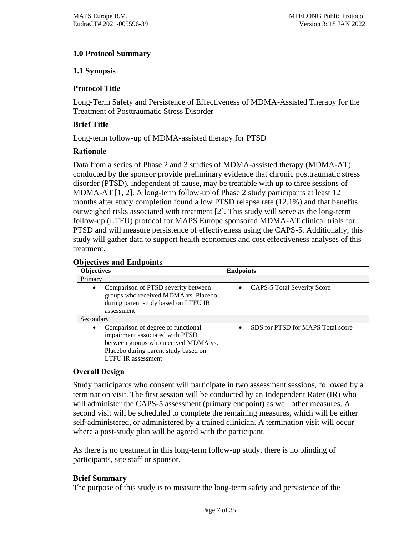# <span id="page-6-0"></span>**1.0 Protocol Summary**

## <span id="page-6-1"></span>**1.1 Synopsis**

## **Protocol Title**

Long-Term Safety and Persistence of Effectiveness of MDMA-Assisted Therapy for the Treatment of Posttraumatic Stress Disorder

## **Brief Title**

Long-term follow-up of MDMA-assisted therapy for PTSD

## **Rationale**

Data from a series of Phase 2 and 3 studies of MDMA-assisted therapy (MDMA-AT) conducted by the sponsor provide preliminary evidence that chronic posttraumatic stress disorder (PTSD), independent of cause, may be treatable with up to three sessions of MDMA-AT [\[1,](#page-31-1) [2\]](#page-31-2). A long-term follow-up of Phase 2 study participants at least 12 months after study completion found a low PTSD relapse rate (12.1%) and that benefits outweighed risks associated with treatment [\[2\]](#page-31-2). This study will serve as the long-term follow-up (LTFU) protocol for MAPS Europe sponsored MDMA-AT clinical trials for PTSD and will measure persistence of effectiveness using the CAPS-5. Additionally, this study will gather data to support health economics and cost effectiveness analyses of this treatment.

### **Objectives and Endpoints**

| <b>Objectives</b>                                                                                                                                                                               | <b>Endpoints</b>                  |
|-------------------------------------------------------------------------------------------------------------------------------------------------------------------------------------------------|-----------------------------------|
| Primary                                                                                                                                                                                         |                                   |
| Comparison of PTSD severity between<br>$\bullet$<br>groups who received MDMA vs. Placebo<br>during parent study based on LTFU IR<br>assessment                                                  | CAPS-5 Total Severity Score       |
| Secondary                                                                                                                                                                                       |                                   |
| Comparison of degree of functional<br>$\bullet$<br>impairment associated with PTSD<br>between groups who received MDMA vs.<br>Placebo during parent study based on<br><b>LTFU IR</b> assessment | SDS for PTSD for MAPS Total score |

### **Overall Design**

Study participants who consent will participate in two assessment sessions, followed by a termination visit. The first session will be conducted by an Independent Rater (IR) who will administer the CAPS-5 assessment (primary endpoint) as well other measures. A second visit will be scheduled to complete the remaining measures, which will be either self-administered, or administered by a trained clinician. A termination visit will occur where a post-study plan will be agreed with the participant.

As there is no treatment in this long-term follow-up study, there is no blinding of participants, site staff or sponsor.

### **Brief Summary**

The purpose of this study is to measure the long-term safety and persistence of the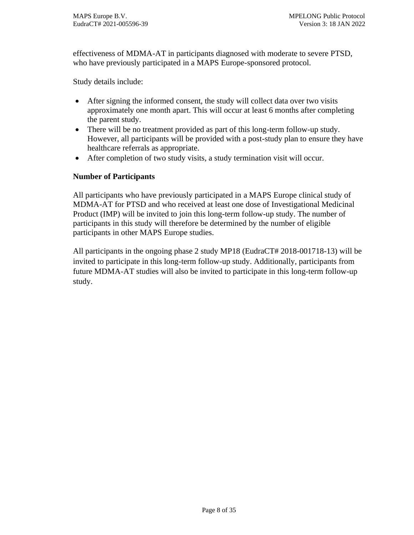effectiveness of MDMA-AT in participants diagnosed with moderate to severe PTSD, who have previously participated in a MAPS Europe-sponsored protocol.

Study details include:

- After signing the informed consent, the study will collect data over two visits approximately one month apart. This will occur at least 6 months after completing the parent study.
- There will be no treatment provided as part of this long-term follow-up study. However, all participants will be provided with a post-study plan to ensure they have healthcare referrals as appropriate.
- After completion of two study visits, a study termination visit will occur.

## **Number of Participants**

All participants who have previously participated in a MAPS Europe clinical study of MDMA-AT for PTSD and who received at least one dose of Investigational Medicinal Product (IMP) will be invited to join this long-term follow-up study. The number of participants in this study will therefore be determined by the number of eligible participants in other MAPS Europe studies.

All participants in the ongoing phase 2 study MP18 (EudraCT# 2018-001718-13) will be invited to participate in this long-term follow-up study. Additionally, participants from future MDMA-AT studies will also be invited to participate in this long-term follow-up study.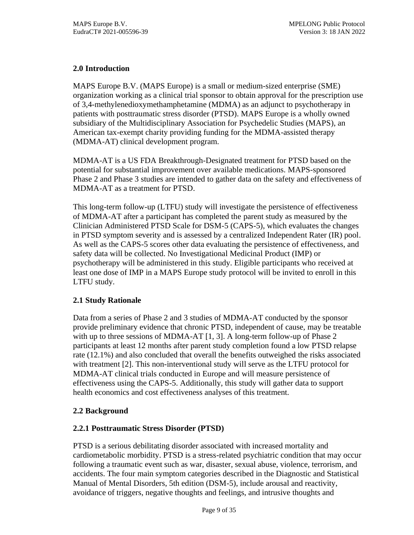# <span id="page-8-0"></span>**2.0 Introduction**

MAPS Europe B.V. (MAPS Europe) is a small or medium-sized enterprise (SME) organization working as a clinical trial sponsor to obtain approval for the prescription use of 3,4-methylenedioxymethamphetamine (MDMA) as an adjunct to psychotherapy in patients with posttraumatic stress disorder (PTSD). MAPS Europe is a wholly owned subsidiary of the Multidisciplinary Association for Psychedelic Studies (MAPS), an American tax-exempt charity providing funding for the MDMA-assisted therapy (MDMA-AT) clinical development program.

MDMA-AT is a US FDA Breakthrough-Designated treatment for PTSD based on the potential for substantial improvement over available medications. MAPS-sponsored Phase 2 and Phase 3 studies are intended to gather data on the safety and effectiveness of MDMA-AT as a treatment for PTSD.

This long-term follow-up (LTFU) study will investigate the persistence of effectiveness of MDMA-AT after a participant has completed the parent study as measured by the Clinician Administered PTSD Scale for DSM-5 (CAPS-5), which evaluates the changes in PTSD symptom severity and is assessed by a centralized Independent Rater (IR) pool. As well as the CAPS-5 scores other data evaluating the persistence of effectiveness, and safety data will be collected. No Investigational Medicinal Product (IMP) or psychotherapy will be administered in this study. Eligible participants who received at least one dose of IMP in a MAPS Europe study protocol will be invited to enroll in this LTFU study.

# <span id="page-8-1"></span>**2.1 Study Rationale**

Data from a series of Phase 2 and 3 studies of MDMA-AT conducted by the sponsor provide preliminary evidence that chronic PTSD, independent of cause, may be treatable with up to three sessions of MDMA-AT [\[1,](#page-31-1) [3\]](#page-31-3). A long-term follow-up of Phase 2 participants at least 12 months after parent study completion found a low PTSD relapse rate (12.1%) and also concluded that overall the benefits outweighed the risks associated with treatment [\[2\]](#page-31-2). This non-interventional study will serve as the LTFU protocol for MDMA-AT clinical trials conducted in Europe and will measure persistence of effectiveness using the CAPS-5. Additionally, this study will gather data to support health economics and cost effectiveness analyses of this treatment.

# <span id="page-8-2"></span>**2.2 Background**

# <span id="page-8-3"></span>**2.2.1 Posttraumatic Stress Disorder (PTSD)**

PTSD is a serious debilitating disorder associated with increased mortality and cardiometabolic morbidity. PTSD is a stress-related psychiatric condition that may occur following a traumatic event such as war, disaster, sexual abuse, violence, terrorism, and accidents. The four main symptom categories described in the Diagnostic and Statistical Manual of Mental Disorders, 5th edition (DSM-5), include arousal and reactivity, avoidance of triggers, negative thoughts and feelings, and intrusive thoughts and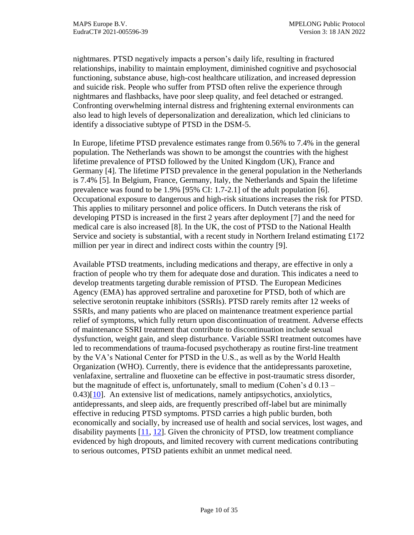nightmares. PTSD negatively impacts a person's daily life, resulting in fractured relationships, inability to maintain employment, diminished cognitive and psychosocial functioning, substance abuse, high-cost healthcare utilization, and increased depression and suicide risk. People who suffer from PTSD often relive the experience through nightmares and flashbacks, have poor sleep quality, and feel detached or estranged. Confronting overwhelming internal distress and frightening external environments can also lead to high levels of depersonalization and derealization, which led clinicians to identify a dissociative subtype of PTSD in the DSM-5.

In Europe, lifetime PTSD prevalence estimates range from 0.56% to 7.4% in the general population. The Netherlands was shown to be amongst the countries with the highest lifetime prevalence of PTSD followed by the United Kingdom (UK), France and Germany [\[4\]](#page-31-4). The lifetime PTSD prevalence in the general population in the Netherlands is 7.4% [\[5\]](#page-31-5). In Belgium, France, Germany, Italy, the Netherlands and Spain the lifetime prevalence was found to be 1.9% [95% CI: 1.7-2.1] of the adult population [\[6\]](#page-31-6). Occupational exposure to dangerous and high-risk situations increases the risk for PTSD. This applies to military personnel and police officers. In Dutch veterans the risk of developing PTSD is increased in the first 2 years after deployment [\[7\]](#page-31-7) and the need for medical care is also increased [\[8\]](#page-31-8). In the UK, the cost of PTSD to the National Health Service and society is substantial, with a recent study in Northern Ireland estimating  $\pounds$ 172 million per year in direct and indirect costs within the country [\[9\]](#page-31-9).

Available PTSD treatments, including medications and therapy, are effective in only a fraction of people who try them for adequate dose and duration. This indicates a need to develop treatments targeting durable remission of PTSD. The European Medicines Agency (EMA) has approved sertraline and paroxetine for PTSD, both of which are selective serotonin reuptake inhibitors (SSRIs). PTSD rarely remits after 12 weeks of SSRIs, and many patients who are placed on maintenance treatment experience partial relief of symptoms, which fully return upon discontinuation of treatment. Adverse effects of maintenance SSRI treatment that contribute to discontinuation include sexual dysfunction, weight gain, and sleep disturbance. Variable SSRI treatment outcomes have led to recommendations of trauma-focused psychotherapy as routine first-line treatment by the VA's National Center for PTSD in the U.S., as well as by the World Health Organization (WHO). Currently, there is evidence that the antidepressants paroxetine, venlafaxine, sertraline and fluoxetine can be effective in post-traumatic stress disorder, but the magnitude of effect is, unfortunately, small to medium (Cohen's d 0.13 –  $(0.43)[10]$  $(0.43)[10]$ . An extensive list of medications, namely antipsychotics, anxiolytics, antidepressants, and sleep aids, are frequently prescribed off-label but are minimally effective in reducing PTSD symptoms. PTSD carries a high public burden, both economically and socially, by increased use of health and social services, lost wages, and disability payments [\[11,](#page-31-11) [12\]](#page-31-12). Given the chronicity of PTSD, low treatment compliance evidenced by high dropouts, and limited recovery with current medications contributing to serious outcomes, PTSD patients exhibit an unmet medical need.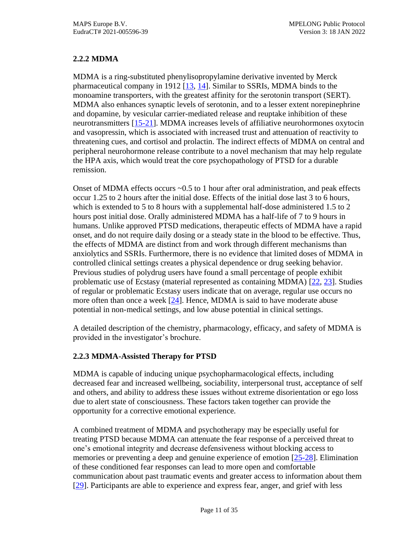# <span id="page-10-0"></span>**2.2.2 MDMA**

MDMA is a ring-substituted phenylisopropylamine derivative invented by Merck pharmaceutical company in 1912 [\[13,](#page-31-13) [14\]](#page-31-14). Similar to SSRIs, MDMA binds to the monoamine transporters, with the greatest affinity for the serotonin transport (SERT). MDMA also enhances synaptic levels of serotonin, and to a lesser extent norepinephrine and dopamine, by vesicular carrier-mediated release and reuptake inhibition of these neurotransmitters [\[15-21\]](#page-31-15). MDMA increases levels of affiliative neurohormones oxytocin and vasopressin, which is associated with increased trust and attenuation of reactivity to threatening cues, and cortisol and prolactin. The indirect effects of MDMA on central and peripheral neurohormone release contribute to a novel mechanism that may help regulate the HPA axis, which would treat the core psychopathology of PTSD for a durable remission.

Onset of MDMA effects occurs ~0.5 to 1 hour after oral administration, and peak effects occur 1.25 to 2 hours after the initial dose. Effects of the initial dose last 3 to 6 hours, which is extended to 5 to 8 hours with a supplemental half-dose administered 1.5 to 2 hours post initial dose. Orally administered MDMA has a half-life of 7 to 9 hours in humans. Unlike approved PTSD medications, therapeutic effects of MDMA have a rapid onset, and do not require daily dosing or a steady state in the blood to be effective. Thus, the effects of MDMA are distinct from and work through different mechanisms than anxiolytics and SSRIs. Furthermore, there is no evidence that limited doses of MDMA in controlled clinical settings creates a physical dependence or drug seeking behavior. Previous studies of polydrug users have found a small percentage of people exhibit problematic use of Ecstasy (material represented as containing MDMA) [22, 23]. Studies of regular or problematic Ecstasy users indicate that on average, regular use occurs no more often than once a week  $[24]$ . Hence, MDMA is said to have moderate abuse potential in non-medical settings, and low abuse potential in clinical settings.

A detailed description of the chemistry, pharmacology, efficacy, and safety of MDMA is provided in the investigator's brochure.

# <span id="page-10-1"></span>**2.2.3 MDMA-Assisted Therapy for PTSD**

MDMA is capable of inducing unique psychopharmacological effects, including decreased fear and increased wellbeing, sociability, interpersonal trust, acceptance of self and others, and ability to address these issues without extreme disorientation or ego loss due to alert state of consciousness. These factors taken together can provide the opportunity for a corrective emotional experience.

A combined treatment of MDMA and psychotherapy may be especially useful for treating PTSD because MDMA can attenuate the fear response of a perceived threat to one's emotional integrity and decrease defensiveness without blocking access to memories or preventing a deep and genuine experience of emotion [25-28]. Elimination of these conditioned fear responses can lead to more open and comfortable communication about past traumatic events and greater access to information about them [29]. Participants are able to experience and express fear, anger, and grief with less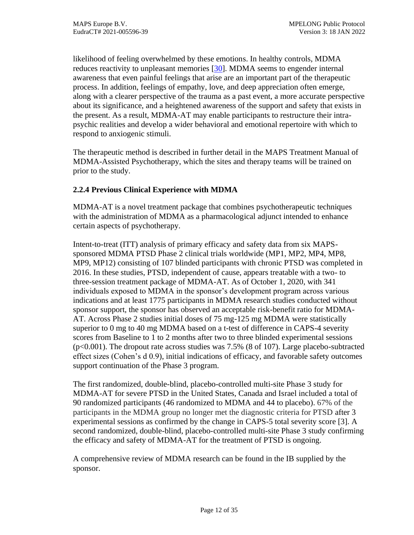likelihood of feeling overwhelmed by these emotions. In healthy controls, MDMA reduces reactivity to unpleasant memories [30]. MDMA seems to engender internal awareness that even painful feelings that arise are an important part of the therapeutic process. In addition, feelings of empathy, love, and deep appreciation often emerge, along with a clearer perspective of the trauma as a past event, a more accurate perspective about its significance, and a heightened awareness of the support and safety that exists in the present. As a result, MDMA-AT may enable participants to restructure their intrapsychic realities and develop a wider behavioral and emotional repertoire with which to respond to anxiogenic stimuli.

The therapeutic method is described in further detail in the MAPS Treatment Manual of MDMA-Assisted Psychotherapy, which the sites and therapy teams will be trained on prior to the study.

# <span id="page-11-0"></span>**2.2.4 Previous Clinical Experience with MDMA**

MDMA-AT is a novel treatment package that combines psychotherapeutic techniques with the administration of MDMA as a pharmacological adjunct intended to enhance certain aspects of psychotherapy.

Intent-to-treat (ITT) analysis of primary efficacy and safety data from six MAPSsponsored MDMA PTSD Phase 2 clinical trials worldwide (MP1, MP2, MP4, MP8, MP9, MP12) consisting of 107 blinded participants with chronic PTSD was completed in 2016. In these studies, PTSD, independent of cause, appears treatable with a two- to three-session treatment package of MDMA-AT. As of October 1, 2020, with 341 individuals exposed to MDMA in the sponsor's development program across various indications and at least 1775 participants in MDMA research studies conducted without sponsor support, the sponsor has observed an acceptable risk-benefit ratio for MDMA-AT. Across Phase 2 studies initial doses of 75 mg-125 mg MDMA were statistically superior to 0 mg to 40 mg MDMA based on a t-test of difference in CAPS-4 severity scores from Baseline to 1 to 2 months after two to three blinded experimental sessions  $(p<0.001)$ . The dropout rate across studies was 7.5% (8 of 107). Large placebo-subtracted effect sizes (Cohen's d 0.9), initial indications of efficacy, and favorable safety outcomes support continuation of the Phase 3 program.

The first randomized, double-blind, placebo-controlled multi-site Phase 3 study for MDMA-AT for severe PTSD in the United States, Canada and Israel included a total of 90 randomized participants (46 randomized to MDMA and 44 to placebo). 67% of the participants in the MDMA group no longer met the diagnostic criteria for PTSD after 3 experimental sessions as confirmed by the change in CAPS-5 total severity score [\[3\]](#page-31-3). A second randomized, double-blind, placebo-controlled multi-site Phase 3 study confirming the efficacy and safety of MDMA-AT for the treatment of PTSD is ongoing.

A comprehensive review of MDMA research can be found in the IB supplied by the sponsor.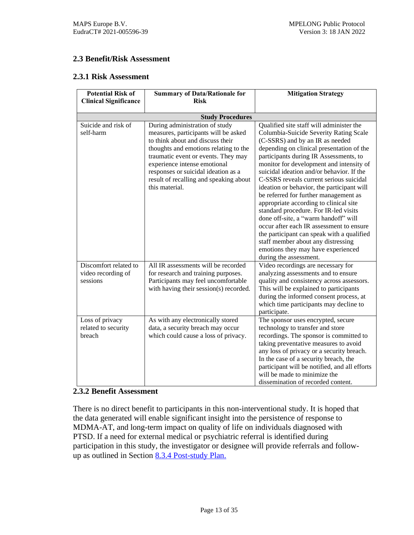## <span id="page-12-0"></span>**2.3 Benefit/Risk Assessment**

#### <span id="page-12-1"></span>**2.3.1 Risk Assessment**

| <b>Potential Risk of</b>     | <b>Summary of Data/Rationale for</b>   | <b>Mitigation Strategy</b>                    |
|------------------------------|----------------------------------------|-----------------------------------------------|
| <b>Clinical Significance</b> | <b>Risk</b>                            |                                               |
|                              |                                        |                                               |
|                              | <b>Study Procedures</b>                |                                               |
| Suicide and risk of          | During administration of study         | Qualified site staff will administer the      |
| self-harm                    | measures, participants will be asked   | Columbia-Suicide Severity Rating Scale        |
|                              | to think about and discuss their       | (C-SSRS) and by an IR as needed               |
|                              | thoughts and emotions relating to the  | depending on clinical presentation of the     |
|                              | traumatic event or events. They may    | participants during IR Assessments, to        |
|                              | experience intense emotional           | monitor for development and intensity of      |
|                              | responses or suicidal ideation as a    | suicidal ideation and/or behavior. If the     |
|                              | result of recalling and speaking about | C-SSRS reveals current serious suicidal       |
|                              | this material.                         | ideation or behavior, the participant will    |
|                              |                                        | be referred for further management as         |
|                              |                                        | appropriate according to clinical site        |
|                              |                                        | standard procedure. For IR-led visits         |
|                              |                                        | done off-site, a "warm handoff" will          |
|                              |                                        | occur after each IR assessment to ensure      |
|                              |                                        | the participant can speak with a qualified    |
|                              |                                        | staff member about any distressing            |
|                              |                                        | emotions they may have experienced            |
|                              |                                        | during the assessment.                        |
| Discomfort related to        | All IR assessments will be recorded    | Video recordings are necessary for            |
| video recording of           | for research and training purposes.    | analyzing assessments and to ensure           |
| sessions                     | Participants may feel uncomfortable    | quality and consistency across assessors.     |
|                              | with having their session(s) recorded. | This will be explained to participants        |
|                              |                                        | during the informed consent process, at       |
|                              |                                        | which time participants may decline to        |
|                              |                                        | participate.                                  |
| Loss of privacy              | As with any electronically stored      | The sponsor uses encrypted, secure            |
| related to security          | data, a security breach may occur      | technology to transfer and store              |
| breach                       | which could cause a loss of privacy.   | recordings. The sponsor is committed to       |
|                              |                                        | taking preventative measures to avoid         |
|                              |                                        | any loss of privacy or a security breach.     |
|                              |                                        | In the case of a security breach, the         |
|                              |                                        | participant will be notified, and all efforts |
|                              |                                        | will be made to minimize the                  |
|                              |                                        | dissemination of recorded content.            |

## <span id="page-12-2"></span>**2.3.2 Benefit Assessment**

There is no direct benefit to participants in this non-interventional study. It is hoped that the data generated will enable significant insight into the persistence of response to MDMA-AT, and long-term impact on quality of life on individuals diagnosed with PTSD. If a need for external medical or psychiatric referral is identified during participation in this study, the investigator or designee will provide referrals and follow-up as outlined in Section [8.3.4](#page-20-1) [Post-study Plan.](#page-20-1)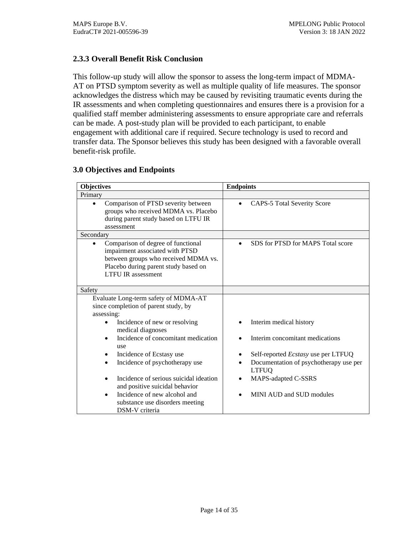# <span id="page-13-0"></span>**2.3.3 Overall Benefit Risk Conclusion**

This follow-up study will allow the sponsor to assess the long-term impact of MDMA-AT on PTSD symptom severity as well as multiple quality of life measures. The sponsor acknowledges the distress which may be caused by revisiting traumatic events during the IR assessments and when completing questionnaires and ensures there is a provision for a qualified staff member administering assessments to ensure appropriate care and referrals can be made. A post-study plan will be provided to each participant, to enable engagement with additional care if required. Secure technology is used to record and transfer data. The Sponsor believes this study has been designed with a favorable overall benefit-risk profile.

| <b>Objectives</b>                                                                                                                                                                  | <b>Endpoints</b>                                       |  |
|------------------------------------------------------------------------------------------------------------------------------------------------------------------------------------|--------------------------------------------------------|--|
| Primary                                                                                                                                                                            |                                                        |  |
| Comparison of PTSD severity between<br>groups who received MDMA vs. Placebo<br>during parent study based on LTFU IR<br>assessment                                                  | <b>CAPS-5 Total Severity Score</b>                     |  |
| Secondary                                                                                                                                                                          |                                                        |  |
| Comparison of degree of functional<br>impairment associated with PTSD<br>between groups who received MDMA vs.<br>Placebo during parent study based on<br><b>LTFU IR</b> assessment | SDS for PTSD for MAPS Total score                      |  |
| Safety                                                                                                                                                                             |                                                        |  |
| Evaluate Long-term safety of MDMA-AT<br>since completion of parent study, by<br>assessing:                                                                                         |                                                        |  |
| Incidence of new or resolving<br>medical diagnoses                                                                                                                                 | Interim medical history                                |  |
| Incidence of concomitant medication<br>use                                                                                                                                         | Interim concomitant medications                        |  |
| Incidence of Ecstasy use<br>$\bullet$                                                                                                                                              | Self-reported <i>Ecstasy</i> use per LTFUQ             |  |
| Incidence of psychotherapy use                                                                                                                                                     | Documentation of psychotherapy use per<br><b>LTFUQ</b> |  |
| Incidence of serious suicidal ideation<br>and positive suicidal behavior                                                                                                           | MAPS-adapted C-SSRS                                    |  |
| Incidence of new alcohol and<br>substance use disorders meeting<br>DSM-V criteria                                                                                                  | MINI AUD and SUD modules                               |  |

#### <span id="page-13-1"></span>**3.0 Objectives and Endpoints**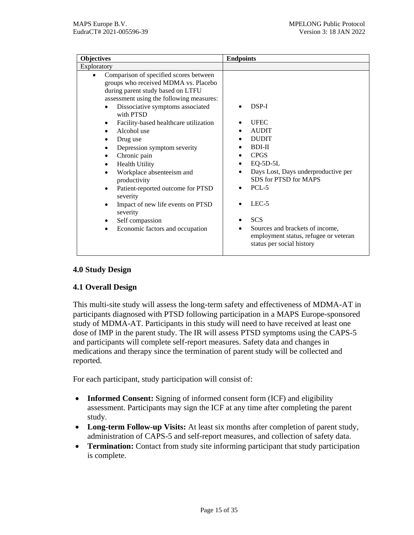| <b>Objectives</b>                                                                                                                                                                                                                                                                                                                                                                                                                                                                                                                                                           | <b>Endpoints</b>                                                                                                                                                                                                                                                                     |  |
|-----------------------------------------------------------------------------------------------------------------------------------------------------------------------------------------------------------------------------------------------------------------------------------------------------------------------------------------------------------------------------------------------------------------------------------------------------------------------------------------------------------------------------------------------------------------------------|--------------------------------------------------------------------------------------------------------------------------------------------------------------------------------------------------------------------------------------------------------------------------------------|--|
| Exploratory                                                                                                                                                                                                                                                                                                                                                                                                                                                                                                                                                                 |                                                                                                                                                                                                                                                                                      |  |
| Comparison of specified scores between<br>groups who received MDMA vs. Placebo<br>during parent study based on LTFU<br>assessment using the following measures:<br>Dissociative symptoms associated<br>with PTSD<br>Facility-based healthcare utilization<br>Alcohol use<br>Drug use<br>Depression symptom severity<br>٠<br>Chronic pain<br><b>Health Utility</b><br>٠<br>Workplace absenteeism and<br>productivity<br>Patient-reported outcome for PTSD<br>severity<br>Impact of new life events on PTSD<br>severity<br>Self compassion<br>Economic factors and occupation | $DSP-I$<br><b>UFEC</b><br><b>AUDIT</b><br><b>DUDIT</b><br><b>BDI-II</b><br><b>CPGS</b><br>$EQ-5D-5L$<br>Days Lost, Days underproductive per<br>SDS for PTSD for MAPS<br>$PCL-5$<br>$LEC-5$<br><b>SCS</b><br>Sources and brackets of income,<br>employment status, refugee or veteran |  |
|                                                                                                                                                                                                                                                                                                                                                                                                                                                                                                                                                                             | status per social history                                                                                                                                                                                                                                                            |  |
|                                                                                                                                                                                                                                                                                                                                                                                                                                                                                                                                                                             |                                                                                                                                                                                                                                                                                      |  |

# <span id="page-14-0"></span>**4.0 Study Design**

### <span id="page-14-1"></span>**4.1 Overall Design**

This multi-site study will assess the long-term safety and effectiveness of MDMA-AT in participants diagnosed with PTSD following participation in a MAPS Europe-sponsored study of MDMA-AT. Participants in this study will need to have received at least one dose of IMP in the parent study. The IR will assess PTSD symptoms using the CAPS-5 and participants will complete self-report measures. Safety data and changes in medications and therapy since the termination of parent study will be collected and reported.

For each participant, study participation will consist of:

- **Informed Consent:** Signing of informed consent form (ICF) and eligibility assessment. Participants may sign the ICF at any time after completing the parent study.
- **Long-term Follow-up Visits:** At least six months after completion of parent study, administration of CAPS-5 and self-report measures, and collection of safety data.
- **Termination:** Contact from study site informing participant that study participation is complete.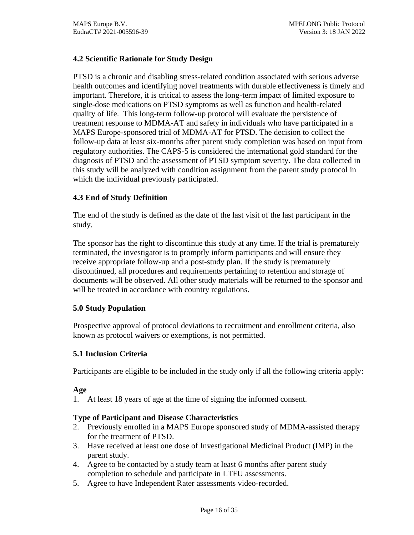## <span id="page-15-0"></span>**4.2 Scientific Rationale for Study Design**

PTSD is a chronic and disabling stress-related condition associated with serious adverse health outcomes and identifying novel treatments with durable effectiveness is timely and important. Therefore, it is critical to assess the long-term impact of limited exposure to single-dose medications on PTSD symptoms as well as function and health-related quality of life. This long-term follow-up protocol will evaluate the persistence of treatment response to MDMA-AT and safety in individuals who have participated in a MAPS Europe-sponsored trial of MDMA-AT for PTSD. The decision to collect the follow-up data at least six-months after parent study completion was based on input from regulatory authorities. The CAPS-5 is considered the international gold standard for the diagnosis of PTSD and the assessment of PTSD symptom severity. The data collected in this study will be analyzed with condition assignment from the parent study protocol in which the individual previously participated.

## <span id="page-15-1"></span>**4.3 End of Study Definition**

The end of the study is defined as the date of the last visit of the last participant in the study.

The sponsor has the right to discontinue this study at any time. If the trial is prematurely terminated, the investigator is to promptly inform participants and will ensure they receive appropriate follow-up and a post-study plan. If the study is prematurely discontinued, all procedures and requirements pertaining to retention and storage of documents will be observed. All other study materials will be returned to the sponsor and will be treated in accordance with country regulations.

### <span id="page-15-2"></span>**5.0 Study Population**

Prospective approval of protocol deviations to recruitment and enrollment criteria, also known as protocol waivers or exemptions, is not permitted.

### <span id="page-15-3"></span>**5.1 Inclusion Criteria**

Participants are eligible to be included in the study only if all the following criteria apply:

### **Age**

1. At least 18 years of age at the time of signing the informed consent.

### **Type of Participant and Disease Characteristics**

- 2. Previously enrolled in a MAPS Europe sponsored study of MDMA-assisted therapy for the treatment of PTSD.
- 3. Have received at least one dose of Investigational Medicinal Product (IMP) in the parent study.
- 4. Agree to be contacted by a study team at least 6 months after parent study completion to schedule and participate in LTFU assessments.
- 5. Agree to have Independent Rater assessments video-recorded.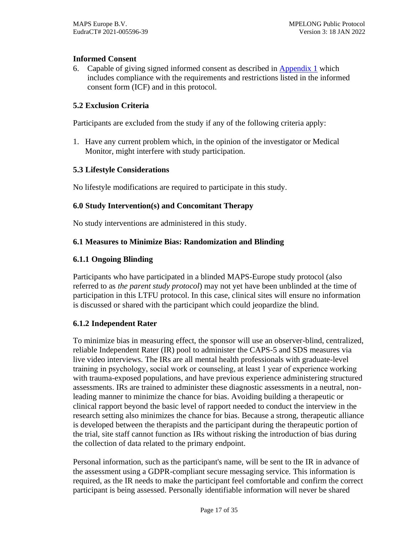## **Informed Consent**

6. Capable of giving signed informed consent as described in [Appendix 1](#page-28-1) which includes compliance with the requirements and restrictions listed in the informed consent form (ICF) and in this protocol.

## <span id="page-16-0"></span>**5.2 Exclusion Criteria**

Participants are excluded from the study if any of the following criteria apply:

1. Have any current problem which, in the opinion of the investigator or Medical Monitor, might interfere with study participation.

### <span id="page-16-1"></span>**5.3 Lifestyle Considerations**

No lifestyle modifications are required to participate in this study.

### <span id="page-16-2"></span>**6.0 Study Intervention(s) and Concomitant Therapy**

No study interventions are administered in this study.

### <span id="page-16-3"></span>**6.1 Measures to Minimize Bias: Randomization and Blinding**

### <span id="page-16-4"></span>**6.1.1 Ongoing Blinding**

Participants who have participated in a blinded MAPS-Europe study protocol (also referred to as *the parent study protocol*) may not yet have been unblinded at the time of participation in this LTFU protocol. In this case, clinical sites will ensure no information is discussed or shared with the participant which could jeopardize the blind.

### <span id="page-16-5"></span>**6.1.2 Independent Rater**

To minimize bias in measuring effect, the sponsor will use an observer-blind, centralized, reliable Independent Rater (IR) pool to administer the CAPS-5 and SDS measures via live video interviews. The IRs are all mental health professionals with graduate-level training in psychology, social work or counseling, at least 1 year of experience working with trauma-exposed populations, and have previous experience administering structured assessments. IRs are trained to administer these diagnostic assessments in a neutral, nonleading manner to minimize the chance for bias. Avoiding building a therapeutic or clinical rapport beyond the basic level of rapport needed to conduct the interview in the research setting also minimizes the chance for bias. Because a strong, therapeutic alliance is developed between the therapists and the participant during the therapeutic portion of the trial, site staff cannot function as IRs without risking the introduction of bias during the collection of data related to the primary endpoint.

Personal information, such as the participant's name, will be sent to the IR in advance of the assessment using a GDPR-compliant secure messaging service. This information is required, as the IR needs to make the participant feel comfortable and confirm the correct participant is being assessed. Personally identifiable information will never be shared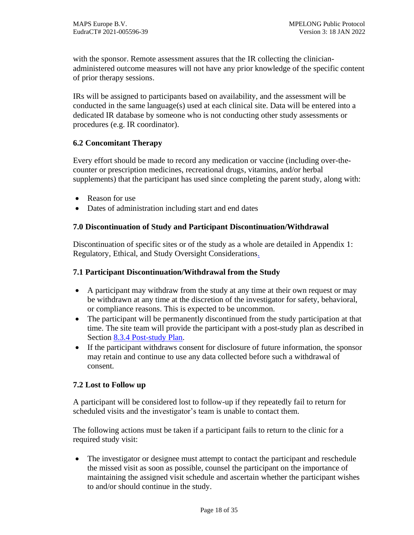with the sponsor. Remote assessment assures that the IR collecting the clinicianadministered outcome measures will not have any prior knowledge of the specific content of prior therapy sessions.

IRs will be assigned to participants based on availability, and the assessment will be conducted in the same language(s) used at each clinical site. Data will be entered into a dedicated IR database by someone who is not conducting other study assessments or procedures (e.g. IR coordinator).

# <span id="page-17-0"></span>**6.2 Concomitant Therapy**

Every effort should be made to record any medication or vaccine (including over-thecounter or prescription medicines, recreational drugs, vitamins, and/or herbal supplements) that the participant has used since completing the parent study, along with:

- Reason for use
- Dates of administration including start and end dates

# <span id="page-17-1"></span>**7.0 Discontinuation of Study and Participant Discontinuation/Withdrawal**

Discontinuation of specific sites or of the study as a whole are detailed in [Appendix 1:](#page-28-1)  [Regulatory, Ethical, and Study Oversight Considerations.](#page-28-1)

## <span id="page-17-2"></span>**7.1 Participant Discontinuation/Withdrawal from the Study**

- A participant may withdraw from the study at any time at their own request or may be withdrawn at any time at the discretion of the investigator for safety, behavioral, or compliance reasons. This is expected to be uncommon.
- The participant will be permanently discontinued from the study participation at that time. The site team will provide the participant with a post-study plan as described in Section [8.3.4](#page-20-1) [Post-study Plan.](#page-20-1)
- If the participant withdraws consent for disclosure of future information, the sponsor may retain and continue to use any data collected before such a withdrawal of consent.

# <span id="page-17-3"></span>**7.2 Lost to Follow up**

A participant will be considered lost to follow-up if they repeatedly fail to return for scheduled visits and the investigator's team is unable to contact them.

The following actions must be taken if a participant fails to return to the clinic for a required study visit:

• The investigator or designee must attempt to contact the participant and reschedule the missed visit as soon as possible, counsel the participant on the importance of maintaining the assigned visit schedule and ascertain whether the participant wishes to and/or should continue in the study.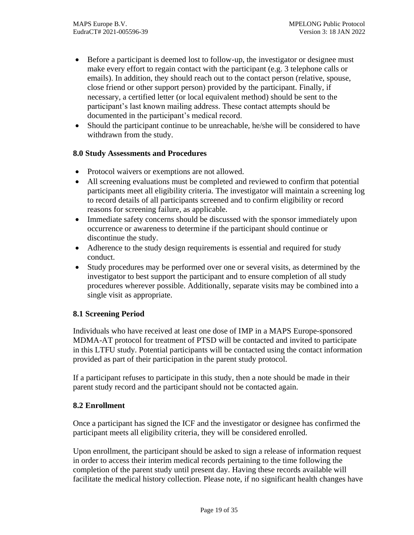- Before a participant is deemed lost to follow-up, the investigator or designee must make every effort to regain contact with the participant (e.g. 3 telephone calls or emails). In addition, they should reach out to the contact person (relative, spouse, close friend or other support person) provided by the participant. Finally, if necessary, a certified letter (or local equivalent method) should be sent to the participant's last known mailing address. These contact attempts should be documented in the participant's medical record.
- Should the participant continue to be unreachable, he/she will be considered to have withdrawn from the study.

## <span id="page-18-0"></span>**8.0 Study Assessments and Procedures**

- Protocol waivers or exemptions are not allowed.
- All screening evaluations must be completed and reviewed to confirm that potential participants meet all eligibility criteria. The investigator will maintain a screening log to record details of all participants screened and to confirm eligibility or record reasons for screening failure, as applicable.
- Immediate safety concerns should be discussed with the sponsor immediately upon occurrence or awareness to determine if the participant should continue or discontinue the study.
- Adherence to the study design requirements is essential and required for study conduct.
- Study procedures may be performed over one or several visits, as determined by the investigator to best support the participant and to ensure completion of all study procedures wherever possible. Additionally, separate visits may be combined into a single visit as appropriate.

# <span id="page-18-1"></span>**8.1 Screening Period**

Individuals who have received at least one dose of IMP in a MAPS Europe-sponsored MDMA-AT protocol for treatment of PTSD will be contacted and invited to participate in this LTFU study. Potential participants will be contacted using the contact information provided as part of their participation in the parent study protocol.

If a participant refuses to participate in this study, then a note should be made in their parent study record and the participant should not be contacted again.

### <span id="page-18-2"></span>**8.2 Enrollment**

Once a participant has signed the ICF and the investigator or designee has confirmed the participant meets all eligibility criteria, they will be considered enrolled.

Upon enrollment, the participant should be asked to sign a release of information request in order to access their interim medical records pertaining to the time following the completion of the parent study until present day. Having these records available will facilitate the medical history collection. Please note, if no significant health changes have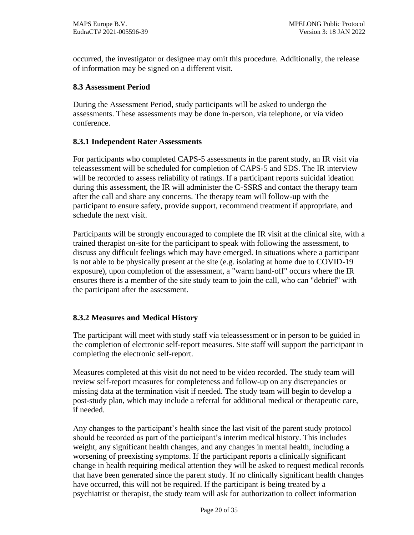occurred, the investigator or designee may omit this procedure. Additionally, the release of information may be signed on a different visit.

## <span id="page-19-0"></span>**8.3 Assessment Period**

During the Assessment Period, study participants will be asked to undergo the assessments. These assessments may be done in-person, via telephone, or via video conference.

## <span id="page-19-1"></span>**8.3.1 Independent Rater Assessments**

For participants who completed CAPS-5 assessments in the parent study, an IR visit via teleassessment will be scheduled for completion of CAPS-5 and SDS. The IR interview will be recorded to assess reliability of ratings. If a participant reports suicidal ideation during this assessment, the IR will administer the C-SSRS and contact the therapy team after the call and share any concerns. The therapy team will follow-up with the participant to ensure safety, provide support, recommend treatment if appropriate, and schedule the next visit.

Participants will be strongly encouraged to complete the IR visit at the clinical site, with a trained therapist on-site for the participant to speak with following the assessment, to discuss any difficult feelings which may have emerged. In situations where a participant is not able to be physically present at the site (e.g. isolating at home due to COVID-19 exposure), upon completion of the assessment, a "warm hand-off" occurs where the IR ensures there is a member of the site study team to join the call, who can "debrief" with the participant after the assessment.

# <span id="page-19-2"></span>**8.3.2 Measures and Medical History**

The participant will meet with study staff via teleassessment or in person to be guided in the completion of electronic self-report measures. Site staff will support the participant in completing the electronic self-report.

Measures completed at this visit do not need to be video recorded. The study team will review self-report measures for completeness and follow-up on any discrepancies or missing data at the termination visit if needed. The study team will begin to develop a post-study plan, which may include a referral for additional medical or therapeutic care, if needed.

Any changes to the participant's health since the last visit of the parent study protocol should be recorded as part of the participant's interim medical history. This includes weight, any significant health changes, and any changes in mental health, including a worsening of preexisting symptoms. If the participant reports a clinically significant change in health requiring medical attention they will be asked to request medical records that have been generated since the parent study. If no clinically significant health changes have occurred, this will not be required. If the participant is being treated by a psychiatrist or therapist, the study team will ask for authorization to collect information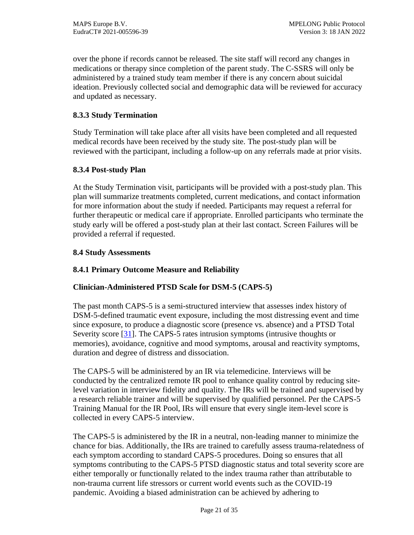over the phone if records cannot be released. The site staff will record any changes in medications or therapy since completion of the parent study. The C-SSRS will only be administered by a trained study team member if there is any concern about suicidal ideation. Previously collected social and demographic data will be reviewed for accuracy and updated as necessary.

## <span id="page-20-0"></span>**8.3.3 Study Termination**

Study Termination will take place after all visits have been completed and all requested medical records have been received by the study site. The post-study plan will be reviewed with the participant, including a follow-up on any referrals made at prior visits.

## <span id="page-20-1"></span>**8.3.4 Post-study Plan**

At the Study Termination visit, participants will be provided with a post-study plan. This plan will summarize treatments completed, current medications, and contact information for more information about the study if needed. Participants may request a referral for further therapeutic or medical care if appropriate. Enrolled participants who terminate the study early will be offered a post-study plan at their last contact. Screen Failures will be provided a referral if requested.

## <span id="page-20-2"></span>**8.4 Study Assessments**

# <span id="page-20-3"></span>**8.4.1 Primary Outcome Measure and Reliability**

### **Clinician-Administered PTSD Scale for DSM-5 (CAPS-5)**

The past month CAPS-5 is a semi-structured interview that assesses index history of DSM-5-defined traumatic event exposure, including the most distressing event and time since exposure, to produce a diagnostic score (presence vs. absence) and a PTSD Total Severity score [31]. The CAPS-5 rates intrusion symptoms (intrusive thoughts or memories), avoidance, cognitive and mood symptoms, arousal and reactivity symptoms, duration and degree of distress and dissociation.

The CAPS-5 will be administered by an IR via telemedicine. Interviews will be conducted by the centralized remote IR pool to enhance quality control by reducing sitelevel variation in interview fidelity and quality. The IRs will be trained and supervised by a research reliable trainer and will be supervised by qualified personnel. Per the CAPS-5 Training Manual for the IR Pool, IRs will ensure that every single item-level score is collected in every CAPS-5 interview.

The CAPS-5 is administered by the IR in a neutral, non-leading manner to minimize the chance for bias. Additionally, the IRs are trained to carefully assess trauma-relatedness of each symptom according to standard CAPS-5 procedures. Doing so ensures that all symptoms contributing to the CAPS-5 PTSD diagnostic status and total severity score are either temporally or functionally related to the index trauma rather than attributable to non-trauma current life stressors or current world events such as the COVID-19 pandemic. Avoiding a biased administration can be achieved by adhering to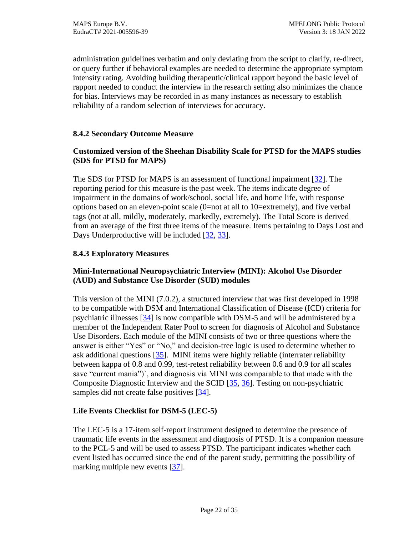administration guidelines verbatim and only deviating from the script to clarify, re-direct, or query further if behavioral examples are needed to determine the appropriate symptom intensity rating. Avoiding building therapeutic/clinical rapport beyond the basic level of rapport needed to conduct the interview in the research setting also minimizes the chance for bias. Interviews may be recorded in as many instances as necessary to establish reliability of a random selection of interviews for accuracy.

## <span id="page-21-0"></span>**8.4.2 Secondary Outcome Measure**

# **Customized version of the Sheehan Disability Scale for PTSD for the MAPS studies (SDS for PTSD for MAPS)**

The SDS for PTSD for MAPS is an assessment of functional impairment [32]. The reporting period for this measure is the past week. The items indicate degree of impairment in the domains of work/school, social life, and home life, with response options based on an eleven-point scale (0=not at all to 10=extremely), and five verbal tags (not at all, mildly, moderately, markedly, extremely). The Total Score is derived from an average of the first three items of the measure. Items pertaining to Days Lost and Days Underproductive will be included [32, 33].

# <span id="page-21-1"></span>**8.4.3 Exploratory Measures**

# **Mini-International Neuropsychiatric Interview (MINI): Alcohol Use Disorder (AUD) and Substance Use Disorder (SUD) modules**

This version of the MINI (7.0.2), a structured interview that was first developed in 1998 to be compatible with DSM and International Classification of Disease (ICD) criteria for psychiatric illnesses [34] is now compatible with DSM-5 and will be administered by a member of the Independent Rater Pool to screen for diagnosis of Alcohol and Substance Use Disorders. Each module of the MINI consists of two or three questions where the answer is either "Yes" or "No," and decision-tree logic is used to determine whether to ask additional questions  $[35]$ . MINI items were highly reliable (interrater reliability between kappa of 0.8 and 0.99, test-retest reliability between 0.6 and 0.9 for all scales save "current mania")`, and diagnosis via MINI was comparable to that made with the Composite Diagnostic Interview and the SCID  $[35, 36]$ . Testing on non-psychiatric samples did not create false positives  $[34]$ .

# **Life Events Checklist for DSM-5 (LEC-5)**

The LEC-5 is a 17-item self-report instrument designed to determine the presence of traumatic life events in the assessment and diagnosis of PTSD. It is a companion measure to the PCL-5 and will be used to assess PTSD. The participant indicates whether each event listed has occurred since the end of the parent study, permitting the possibility of marking multiple new events [37].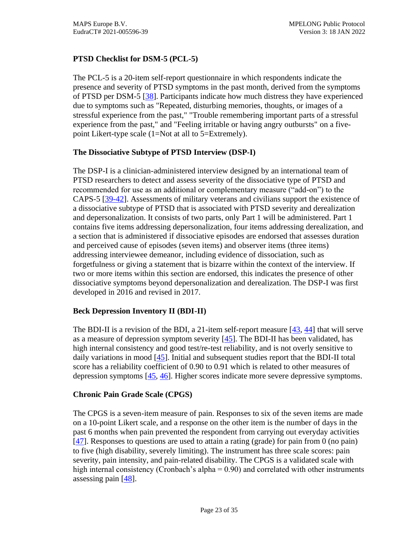# **PTSD Checklist for DSM-5 (PCL-5)**

The PCL-5 is a 20-item self-report questionnaire in which respondents indicate the presence and severity of PTSD symptoms in the past month, derived from the symptoms of PTSD per DSM-5 [38]. Participants indicate how much distress they have experienced due to symptoms such as "Repeated, disturbing memories, thoughts, or images of a stressful experience from the past," "Trouble remembering important parts of a stressful experience from the past," and "Feeling irritable or having angry outbursts" on a fivepoint Likert-type scale (1=Not at all to 5=Extremely).

## **The Dissociative Subtype of PTSD Interview (DSP-I)**

The DSP-I is a clinician-administered interview designed by an international team of PTSD researchers to detect and assess severity of the dissociative type of PTSD and recommended for use as an additional or complementary measure ("add-on") to the CAPS-5 [39-42]. Assessments of military veterans and civilians support the existence of a dissociative subtype of PTSD that is associated with PTSD severity and derealization and depersonalization. It consists of two parts, only Part 1 will be administered. Part 1 contains five items addressing depersonalization, four items addressing derealization, and a section that is administered if dissociative episodes are endorsed that assesses duration and perceived cause of episodes (seven items) and observer items (three items) addressing interviewee demeanor, including evidence of dissociation, such as forgetfulness or giving a statement that is bizarre within the context of the interview. If two or more items within this section are endorsed, this indicates the presence of other dissociative symptoms beyond depersonalization and derealization. The DSP-I was first developed in 2016 and revised in 2017.

### **Beck Depression Inventory II (BDI-II)**

The BDI-II is a revision of the BDI, a 21-item self-report measure [43, 44] that will serve as a measure of depression symptom severity [45]. The BDI-II has been validated, has high internal consistency and good test/re-test reliability, and is not overly sensitive to daily variations in mood [45]. Initial and subsequent studies report that the BDI-II total score has a reliability coefficient of 0.90 to 0.91 which is related to other measures of depression symptoms [45, 46]. Higher scores indicate more severe depressive symptoms.

### **Chronic Pain Grade Scale (CPGS)**

The CPGS is a seven-item measure of pain. Responses to six of the seven items are made on a 10-point Likert scale, and a response on the other item is the number of days in the past 6 months when pain prevented the respondent from carrying out everyday activities [47]. Responses to questions are used to attain a rating (grade) for pain from 0 (no pain) to five (high disability, severely limiting). The instrument has three scale scores: pain severity, pain intensity, and pain-related disability. The CPGS is a validated scale with high internal consistency (Cronbach's alpha  $= 0.90$ ) and correlated with other instruments assessing pain  $[48]$ .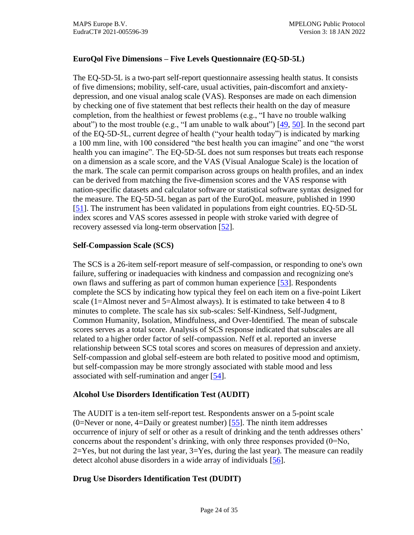# **EuroQol Five Dimensions – Five Levels Questionnaire (EQ-5D-5L)**

The EQ-5D-5L is a two-part self-report questionnaire assessing health status. It consists of five dimensions; mobility, self-care, usual activities, pain-discomfort and anxietydepression, and one visual analog scale (VAS). Responses are made on each dimension by checking one of five statement that best reflects their health on the day of measure completion, from the healthiest or fewest problems (e.g., "I have no trouble walking about") to the most trouble (e.g., "I am unable to walk about")  $[49, 50]$ . In the second part of the EQ-5D-5L, current degree of health ("your health today") is indicated by marking a 100 mm line, with 100 considered "the best health you can imagine" and one "the worst health you can imagine". The EQ-5D-5L does not sum responses but treats each response on a dimension as a scale score, and the VAS (Visual Analogue Scale) is the location of the mark. The scale can permit comparison across groups on health profiles, and an index can be derived from matching the five-dimension scores and the VAS response with nation-specific datasets and calculator software or statistical software syntax designed for the measure. The EQ-5D-5L began as part of the EuroQoL measure, published in 1990 [51]. The instrument has been validated in populations from eight countries. EQ-5D-5L index scores and VAS scores assessed in people with stroke varied with degree of recovery assessed via long-term observation [\[52\]](#page-33-0).

## **Self-Compassion Scale (SCS)**

The SCS is a 26-item self-report measure of self-compassion, or responding to one's own failure, suffering or inadequacies with kindness and compassion and recognizing one's own flaws and suffering as part of common human experience [\[53\]](#page-33-1). Respondents complete the SCS by indicating how typical they feel on each item on a five-point Likert scale (1=Almost never and 5=Almost always). It is estimated to take between 4 to 8 minutes to complete. The scale has six sub-scales: Self-Kindness, Self-Judgment, Common Humanity, Isolation, Mindfulness, and Over-Identified. The mean of subscale scores serves as a total score. Analysis of SCS response indicated that subscales are all related to a higher order factor of self-compassion. Neff et al. reported an inverse relationship between SCS total scores and scores on measures of depression and anxiety. Self-compassion and global self-esteem are both related to positive mood and optimism, but self-compassion may be more strongly associated with stable mood and less associated with self-rumination and anger [\[54\]](#page-33-2).

# **Alcohol Use Disorders Identification Test (AUDIT)**

The AUDIT is a ten-item self-report test. Respondents answer on a 5-point scale (0=Never or none, 4=Daily or greatest number)  $[55]$ . The ninth item addresses occurrence of injury of self or other as a result of drinking and the tenth addresses others' concerns about the respondent's drinking, with only three responses provided  $(0=No,$  $2 = Yes$ , but not during the last year,  $3 = Yes$ , during the last year). The measure can readily detect alcohol abuse disorders in a wide array of individuals [\[56\]](#page-33-4).

# **Drug Use Disorders Identification Test (DUDIT)**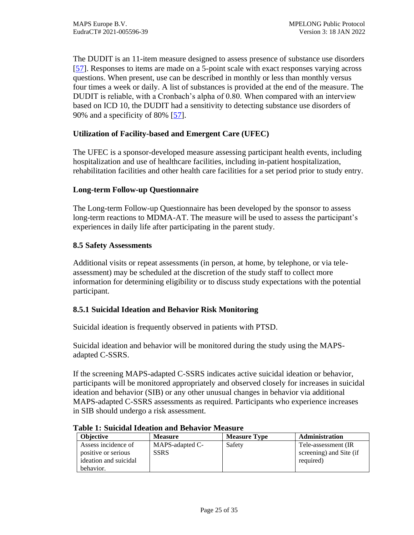The DUDIT is an 11-item measure designed to assess presence of substance use disorders [\[57\]](#page-33-5). Responses to items are made on a 5-point scale with exact responses varying across questions. When present, use can be described in monthly or less than monthly versus four times a week or daily. A list of substances is provided at the end of the measure. The DUDIT is reliable, with a Cronbach's alpha of 0.80. When compared with an interview based on ICD 10, the DUDIT had a sensitivity to detecting substance use disorders of 90% and a specificity of 80% [\[57\]](#page-33-5).

## **Utilization of Facility-based and Emergent Care (UFEC)**

The UFEC is a sponsor-developed measure assessing participant health events, including hospitalization and use of healthcare facilities, including in-patient hospitalization, rehabilitation facilities and other health care facilities for a set period prior to study entry.

## **Long-term Follow-up Questionnaire**

The Long-term Follow-up Questionnaire has been developed by the sponsor to assess long-term reactions to MDMA-AT. The measure will be used to assess the participant's experiences in daily life after participating in the parent study.

### <span id="page-24-0"></span>**8.5 Safety Assessments**

Additional visits or repeat assessments (in person, at home, by telephone, or via teleassessment) may be scheduled at the discretion of the study staff to collect more information for determining eligibility or to discuss study expectations with the potential participant.

### <span id="page-24-1"></span>**8.5.1 Suicidal Ideation and Behavior Risk Monitoring**

Suicidal ideation is frequently observed in patients with PTSD.

Suicidal ideation and behavior will be monitored during the study using the MAPSadapted C-SSRS.

If the screening MAPS-adapted C-SSRS indicates active suicidal ideation or behavior, participants will be monitored appropriately and observed closely for increases in suicidal ideation and behavior (SIB) or any other unusual changes in behavior via additional MAPS-adapted C-SSRS assessments as required. Participants who experience increases in SIB should undergo a risk assessment.

| <b>Objective</b>                                                                 | <b>Measure</b>                 | <b>Measure Type</b> | <b>Administration</b>                                       |
|----------------------------------------------------------------------------------|--------------------------------|---------------------|-------------------------------------------------------------|
| Assess incidence of<br>positive or serious<br>ideation and suicidal<br>behavior. | MAPS-adapted C-<br><b>SSRS</b> | Safety              | Tele-assessment (IR<br>screening) and Site (if<br>required) |

#### <span id="page-24-2"></span>**Table 1: Suicidal Ideation and Behavior Measure**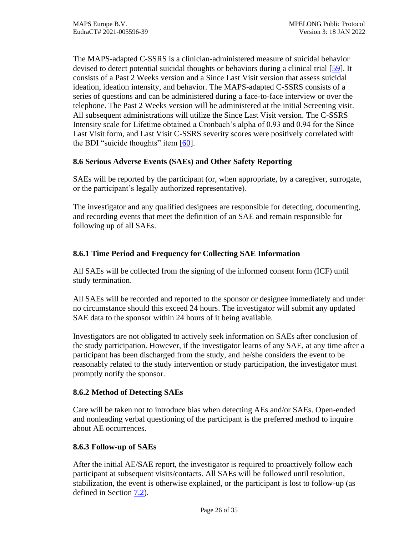The MAPS-adapted C-SSRS is a clinician-administered measure of suicidal behavior devised to detect potential suicidal thoughts or behaviors during a clinical trial [\[59\]](#page-34-0). It consists of a Past 2 Weeks version and a Since Last Visit version that assess suicidal ideation, ideation intensity, and behavior. The MAPS-adapted C-SSRS consists of a series of questions and can be administered during a face-to-face interview or over the telephone. The Past 2 Weeks version will be administered at the initial Screening visit. All subsequent administrations will utilize the Since Last Visit version. The C-SSRS Intensity scale for Lifetime obtained a Cronbach's alpha of 0.93 and 0.94 for the Since Last Visit form, and Last Visit C-SSRS severity scores were positively correlated with the BDI "suicide thoughts" item  $[60]$ .

## <span id="page-25-0"></span>**8.6 Serious Adverse Events (SAEs) and Other Safety Reporting**

SAEs will be reported by the participant (or, when appropriate, by a caregiver, surrogate, or the participant's legally authorized representative).

The investigator and any qualified designees are responsible for detecting, documenting, and recording events that meet the definition of an SAE and remain responsible for following up of all SAEs.

## <span id="page-25-1"></span>**8.6.1 Time Period and Frequency for Collecting SAE Information**

All SAEs will be collected from the signing of the informed consent form (ICF) until study termination.

All SAEs will be recorded and reported to the sponsor or designee immediately and under no circumstance should this exceed 24 hours. The investigator will submit any updated SAE data to the sponsor within 24 hours of it being available.

Investigators are not obligated to actively seek information on SAEs after conclusion of the study participation. However, if the investigator learns of any SAE, at any time after a participant has been discharged from the study, and he/she considers the event to be reasonably related to the study intervention or study participation, the investigator must promptly notify the sponsor.

# <span id="page-25-2"></span>**8.6.2 Method of Detecting SAEs**

Care will be taken not to introduce bias when detecting AEs and/or SAEs. Open-ended and nonleading verbal questioning of the participant is the preferred method to inquire about AE occurrences.

### <span id="page-25-3"></span>**8.6.3 Follow-up of SAEs**

After the initial AE/SAE report, the investigator is required to proactively follow each participant at subsequent visits/contacts. All SAEs will be followed until resolution, stabilization, the event is otherwise explained, or the participant is lost to follow-up (as defined in Section [7.2\)](#page-17-3).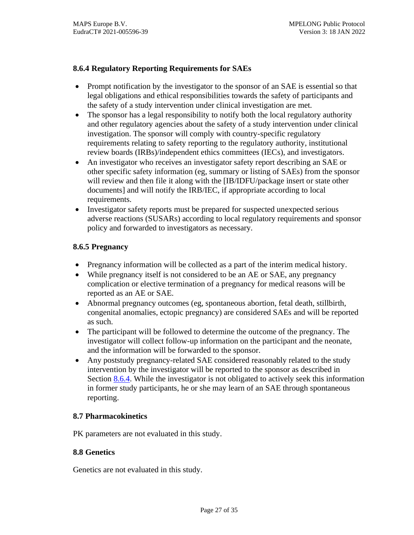## <span id="page-26-0"></span>**8.6.4 Regulatory Reporting Requirements for SAEs**

- Prompt notification by the investigator to the sponsor of an SAE is essential so that legal obligations and ethical responsibilities towards the safety of participants and the safety of a study intervention under clinical investigation are met.
- The sponsor has a legal responsibility to notify both the local regulatory authority and other regulatory agencies about the safety of a study intervention under clinical investigation. The sponsor will comply with country-specific regulatory requirements relating to safety reporting to the regulatory authority, institutional review boards (IRBs)/independent ethics committees (IECs), and investigators.
- An investigator who receives an investigator safety report describing an SAE or other specific safety information (eg, summary or listing of SAEs) from the sponsor will review and then file it along with the [IB/IDFU/package insert or state other documents] and will notify the IRB/IEC, if appropriate according to local requirements.
- Investigator safety reports must be prepared for suspected unexpected serious adverse reactions (SUSARs) according to local regulatory requirements and sponsor policy and forwarded to investigators as necessary.

## <span id="page-26-1"></span>**8.6.5 Pregnancy**

- Pregnancy information will be collected as a part of the interim medical history.
- While pregnancy itself is not considered to be an AE or SAE, any pregnancy complication or elective termination of a pregnancy for medical reasons will be reported as an AE or SAE.
- Abnormal pregnancy outcomes (eg, spontaneous abortion, fetal death, stillbirth, congenital anomalies, ectopic pregnancy) are considered SAEs and will be reported as such.
- The participant will be followed to determine the outcome of the pregnancy. The investigator will collect follow-up information on the participant and the neonate, and the information will be forwarded to the sponsor.
- Any poststudy pregnancy-related SAE considered reasonably related to the study intervention by the investigator will be reported to the sponsor as described in Section [8.6.4.](#page-26-0) While the investigator is not obligated to actively seek this information in former study participants, he or she may learn of an SAE through spontaneous reporting.

### <span id="page-26-2"></span>**8.7 Pharmacokinetics**

PK parameters are not evaluated in this study.

### <span id="page-26-3"></span>**8.8 Genetics**

Genetics are not evaluated in this study.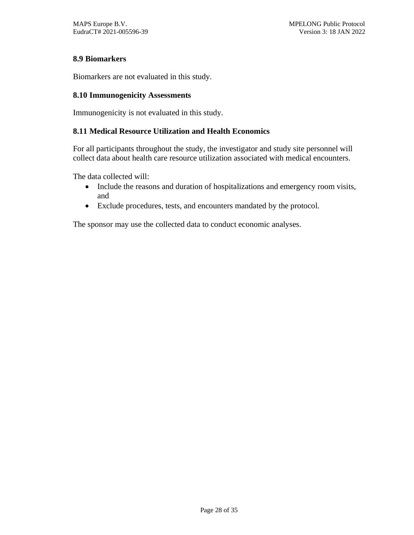## <span id="page-27-0"></span>**8.9 Biomarkers**

Biomarkers are not evaluated in this study.

#### <span id="page-27-1"></span>**8.10 Immunogenicity Assessments**

Immunogenicity is not evaluated in this study.

#### <span id="page-27-2"></span>**8.11 Medical Resource Utilization and Health Economics**

For all participants throughout the study, the investigator and study site personnel will collect data about health care resource utilization associated with medical encounters.

The data collected will:

- Include the reasons and duration of hospitalizations and emergency room visits, and
- Exclude procedures, tests, and encounters mandated by the protocol.

The sponsor may use the collected data to conduct economic analyses.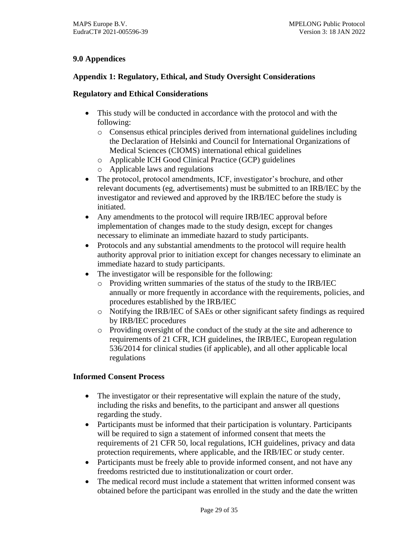# <span id="page-28-0"></span>**9.0 Appendices**

## <span id="page-28-1"></span>**Appendix 1: Regulatory, Ethical, and Study Oversight Considerations**

## **Regulatory and Ethical Considerations**

- This study will be conducted in accordance with the protocol and with the following:
	- o Consensus ethical principles derived from international guidelines including the Declaration of Helsinki and Council for International Organizations of Medical Sciences (CIOMS) international ethical guidelines
	- o Applicable ICH Good Clinical Practice (GCP) guidelines
	- o Applicable laws and regulations
- The protocol, protocol amendments, ICF, investigator's brochure, and other relevant documents (eg, advertisements) must be submitted to an IRB/IEC by the investigator and reviewed and approved by the IRB/IEC before the study is initiated.
- Any amendments to the protocol will require IRB/IEC approval before implementation of changes made to the study design, except for changes necessary to eliminate an immediate hazard to study participants.
- Protocols and any substantial amendments to the protocol will require health authority approval prior to initiation except for changes necessary to eliminate an immediate hazard to study participants.
- The investigator will be responsible for the following:
	- o Providing written summaries of the status of the study to the IRB/IEC annually or more frequently in accordance with the requirements, policies, and procedures established by the IRB/IEC
	- o Notifying the IRB/IEC of SAEs or other significant safety findings as required by IRB/IEC procedures
	- o Providing oversight of the conduct of the study at the site and adherence to requirements of 21 CFR, ICH guidelines, the IRB/IEC, European regulation 536/2014 for clinical studies (if applicable), and all other applicable local regulations

# **Informed Consent Process**

- The investigator or their representative will explain the nature of the study, including the risks and benefits, to the participant and answer all questions regarding the study.
- Participants must be informed that their participation is voluntary. Participants will be required to sign a statement of informed consent that meets the requirements of 21 CFR 50, local regulations, ICH guidelines, privacy and data protection requirements, where applicable, and the IRB/IEC or study center.
- Participants must be freely able to provide informed consent, and not have any freedoms restricted due to institutionalization or court order.
- The medical record must include a statement that written informed consent was obtained before the participant was enrolled in the study and the date the written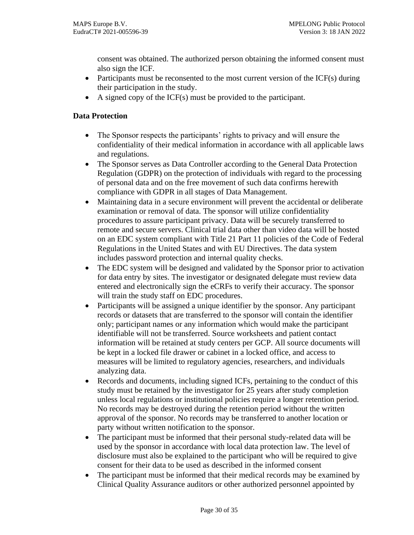consent was obtained. The authorized person obtaining the informed consent must also sign the ICF.

- Participants must be reconsented to the most current version of the  $ICF(s)$  during their participation in the study.
- A signed copy of the ICF(s) must be provided to the participant.

## **Data Protection**

- The Sponsor respects the participants' rights to privacy and will ensure the confidentiality of their medical information in accordance with all applicable laws and regulations.
- The Sponsor serves as Data Controller according to the General Data Protection Regulation (GDPR) on the protection of individuals with regard to the processing of personal data and on the free movement of such data confirms herewith compliance with GDPR in all stages of Data Management.
- Maintaining data in a secure environment will prevent the accidental or deliberate examination or removal of data. The sponsor will utilize confidentiality procedures to assure participant privacy. Data will be securely transferred to remote and secure servers. Clinical trial data other than video data will be hosted on an EDC system compliant with Title 21 Part 11 policies of the Code of Federal Regulations in the United States and with EU Directives. The data system includes password protection and internal quality checks.
- The EDC system will be designed and validated by the Sponsor prior to activation for data entry by sites. The investigator or designated delegate must review data entered and electronically sign the eCRFs to verify their accuracy. The sponsor will train the study staff on EDC procedures.
- Participants will be assigned a unique identifier by the sponsor. Any participant records or datasets that are transferred to the sponsor will contain the identifier only; participant names or any information which would make the participant identifiable will not be transferred. Source worksheets and patient contact information will be retained at study centers per GCP. All source documents will be kept in a locked file drawer or cabinet in a locked office, and access to measures will be limited to regulatory agencies, researchers, and individuals analyzing data.
- Records and documents, including signed ICFs, pertaining to the conduct of this study must be retained by the investigator for 25 years after study completion unless local regulations or institutional policies require a longer retention period. No records may be destroyed during the retention period without the written approval of the sponsor. No records may be transferred to another location or party without written notification to the sponsor.
- The participant must be informed that their personal study-related data will be used by the sponsor in accordance with local data protection law. The level of disclosure must also be explained to the participant who will be required to give consent for their data to be used as described in the informed consent
- The participant must be informed that their medical records may be examined by Clinical Quality Assurance auditors or other authorized personnel appointed by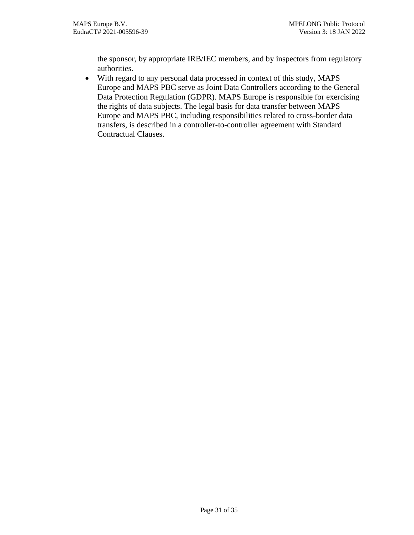the sponsor, by appropriate IRB/IEC members, and by inspectors from regulatory authorities.

• With regard to any personal data processed in context of this study, MAPS Europe and MAPS PBC serve as Joint Data Controllers according to the General Data Protection Regulation (GDPR). MAPS Europe is responsible for exercising the rights of data subjects. The legal basis for data transfer between MAPS Europe and MAPS PBC, including responsibilities related to cross-border data transfers, is described in a controller-to-controller agreement with Standard Contractual Clauses.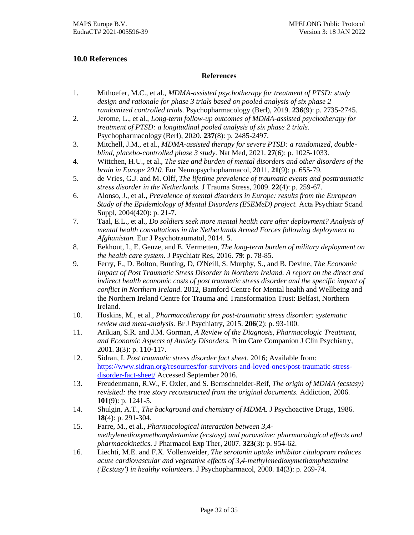#### <span id="page-31-0"></span>**10.0 References**

#### **References**

- <span id="page-31-1"></span>1. Mithoefer, M.C., et al., *MDMA-assisted psychotherapy for treatment of PTSD: study design and rationale for phase 3 trials based on pooled analysis of six phase 2 randomized controlled trials.* Psychopharmacology (Berl), 2019. **236**(9): p. 2735-2745.
- <span id="page-31-2"></span>2. Jerome, L., et al., *Long-term follow-up outcomes of MDMA-assisted psychotherapy for treatment of PTSD: a longitudinal pooled analysis of six phase 2 trials.* Psychopharmacology (Berl), 2020. **237**(8): p. 2485-2497.
- <span id="page-31-3"></span>3. Mitchell, J.M., et al., *MDMA-assisted therapy for severe PTSD: a randomized, doubleblind, placebo-controlled phase 3 study.* Nat Med, 2021. **27**(6): p. 1025-1033.
- <span id="page-31-4"></span>4. Wittchen, H.U., et al., *The size and burden of mental disorders and other disorders of the brain in Europe 2010.* Eur Neuropsychopharmacol, 2011. **21**(9): p. 655-79.
- <span id="page-31-5"></span>5. de Vries, G.J. and M. Olff, *The lifetime prevalence of traumatic events and posttraumatic stress disorder in the Netherlands.* J Trauma Stress, 2009. **22**(4): p. 259-67.
- <span id="page-31-6"></span>6. Alonso, J., et al., *Prevalence of mental disorders in Europe: results from the European Study of the Epidemiology of Mental Disorders (ESEMeD) project.* Acta Psychiatr Scand Suppl, 2004(420): p. 21-7.
- <span id="page-31-7"></span>7. Taal, E.L., et al., *Do soldiers seek more mental health care after deployment? Analysis of mental health consultations in the Netherlands Armed Forces following deployment to Afghanistan.* Eur J Psychotraumatol, 2014. **5**.
- <span id="page-31-8"></span>8. Eekhout, I., E. Geuze, and E. Vermetten, *The long-term burden of military deployment on the health care system.* J Psychiatr Res, 2016. **79**: p. 78-85.
- <span id="page-31-9"></span>9. Ferry, F., D. Bolton, Bunting, D, O'Neill, S. Murphy, S., and B. Devine, *The Economic Impact of Post Traumatic Stress Disorder in Northern Ireland. A report on the direct and indirect health economic costs of post traumatic stress disorder and the specific impact of conflict in Northern Ireland*. 2012, Bamford Centre for Mental health and Wellbeing and the Northern Ireland Centre for Trauma and Transformation Trust: Belfast, Northern Ireland.
- <span id="page-31-10"></span>10. Hoskins, M., et al., *Pharmacotherapy for post-traumatic stress disorder: systematic review and meta-analysis.* Br J Psychiatry, 2015. **206**(2): p. 93-100.
- <span id="page-31-11"></span>11. Arikian, S.R. and J.M. Gorman, *A Review of the Diagnosis, Pharmacologic Treatment, and Economic Aspects of Anxiety Disorders.* Prim Care Companion J Clin Psychiatry, 2001. **3**(3): p. 110-117.
- <span id="page-31-12"></span>12. Sidran, I. *Post traumatic stress disorder fact sheet*. 2016; Available from: [https://www.sidran.org/resources/for-survivors-and-loved-ones/post-traumatic-stress](https://www.sidran.org/resources/for-survivors-and-loved-ones/post-traumatic-stress-disorder-fact-sheet/)[disorder-fact-sheet/](https://www.sidran.org/resources/for-survivors-and-loved-ones/post-traumatic-stress-disorder-fact-sheet/) Accessed September 2016.
- <span id="page-31-13"></span>13. Freudenmann, R.W., F. Oxler, and S. Bernschneider-Reif, *The origin of MDMA (ecstasy) revisited: the true story reconstructed from the original documents.* Addiction, 2006. **101**(9): p. 1241-5.
- <span id="page-31-14"></span>14. Shulgin, A.T., *The background and chemistry of MDMA.* J Psychoactive Drugs, 1986. **18**(4): p. 291-304.
- <span id="page-31-15"></span>15. Farre, M., et al., *Pharmacological interaction between 3,4 methylenedioxymethamphetamine (ecstasy) and paroxetine: pharmacological effects and pharmacokinetics.* J Pharmacol Exp Ther, 2007. **323**(3): p. 954-62.
- 16. Liechti, M.E. and F.X. Vollenweider, *The serotonin uptake inhibitor citalopram reduces acute cardiovascular and vegetative effects of 3,4-methylenedioxymethamphetamine ('Ecstasy') in healthy volunteers.* J Psychopharmacol, 2000. **14**(3): p. 269-74.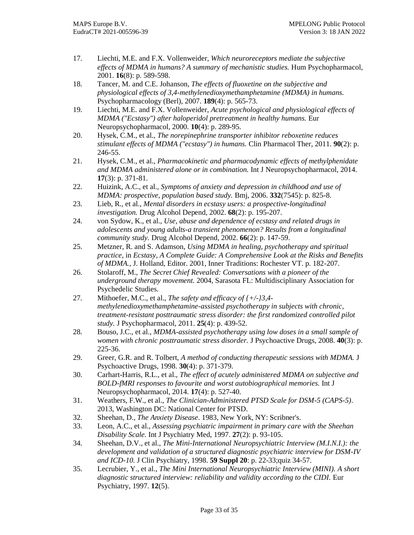- 17. Liechti, M.E. and F.X. Vollenweider, *Which neuroreceptors mediate the subjective effects of MDMA in humans? A summary of mechanistic studies.* Hum Psychopharmacol, 2001. **16**(8): p. 589-598.
- 18. Tancer, M. and C.E. Johanson, *The effects of fluoxetine on the subjective and physiological effects of 3,4-methylenedioxymethamphetamine (MDMA) in humans.* Psychopharmacology (Berl), 2007. **189**(4): p. 565-73.
- 19. Liechti, M.E. and F.X. Vollenweider, *Acute psychological and physiological effects of MDMA ("Ecstasy") after haloperidol pretreatment in healthy humans.* Eur Neuropsychopharmacol, 2000. **10**(4): p. 289-95.
- 20. Hysek, C.M., et al., *The norepinephrine transporter inhibitor reboxetine reduces stimulant effects of MDMA ("ecstasy") in humans.* Clin Pharmacol Ther, 2011. **90**(2): p. 246-55.
- 21. Hysek, C.M., et al., *Pharmacokinetic and pharmacodynamic effects of methylphenidate and MDMA administered alone or in combination.* Int J Neuropsychopharmacol, 2014. **17**(3): p. 371-81.
- 22. Huizink, A.C., et al., *Symptoms of anxiety and depression in childhood and use of MDMA: prospective, population based study.* Bmj, 2006. **332**(7545): p. 825-8.
- 23. Lieb, R., et al., *Mental disorders in ecstasy users: a prospective-longitudinal investigation.* Drug Alcohol Depend, 2002. **68**(2): p. 195-207.
- 24. von Sydow, K., et al., *Use, abuse and dependence of ecstasy and related drugs in adolescents and young adults-a transient phenomenon? Results from a longitudinal community study.* Drug Alcohol Depend, 2002. **66**(2): p. 147-59.
- 25. Metzner, R. and S. Adamson, *Using MDMA in healing, psychotherapy and spiritual practice*, in *Ecstasy, A Complete Guide: A Comprehensive Look at the Risks and Benefits of MDMA.*, J. Holland, Editor. 2001, Inner Traditions: Rochester VT. p. 182-207.
- 26. Stolaroff, M., *The Secret Chief Revealed: Conversations with a pioneer of the underground therapy movement.* 2004, Sarasota FL: Multidisciplinary Association for Psychedelic Studies.
- 27. Mithoefer, M.C., et al., *The safety and efficacy of {+/-}3,4 methylenedioxymethamphetamine-assisted psychotherapy in subjects with chronic, treatment-resistant posttraumatic stress disorder: the first randomized controlled pilot study.* J Psychopharmacol, 2011. **25**(4): p. 439-52.
- 28. Bouso, J.C., et al., *MDMA-assisted psychotherapy using low doses in a small sample of women with chronic posttraumatic stress disorder.* J Psychoactive Drugs, 2008. **40**(3): p. 225-36.
- 29. Greer, G.R. and R. Tolbert, *A method of conducting therapeutic sessions with MDMA.* J Psychoactive Drugs, 1998. **30**(4): p. 371-379.
- 30. Carhart-Harris, R.L., et al., *The effect of acutely administered MDMA on subjective and BOLD-fMRI responses to favourite and worst autobiographical memories.* Int J Neuropsychopharmacol, 2014. **17**(4): p. 527-40.
- 31. Weathers, F.W., et al., *The Clinician-Administered PTSD Scale for DSM-5 (CAPS-5)*. 2013, Washington DC: National Center for PTSD.
- 32. Sheehan, D., *The Anxiety Disease*. 1983, New York, NY: Scribner's.
- 33. Leon, A.C., et al., *Assessing psychiatric impairment in primary care with the Sheehan Disability Scale.* Int J Psychiatry Med, 1997. **27**(2): p. 93-105.
- 34. Sheehan, D.V., et al., *The Mini-International Neuropsychiatric Interview (M.I.N.I.): the development and validation of a structured diagnostic psychiatric interview for DSM-IV and ICD-10.* J Clin Psychiatry, 1998. **59 Suppl 20**: p. 22-33;quiz 34-57.
- 35. Lecrubier, Y., et al., *The Mini International Neuropsychiatric Interview (MINI). A short diagnostic structured interview: reliability and validity according to the CIDI.* Eur Psychiatry, 1997. **12**(5).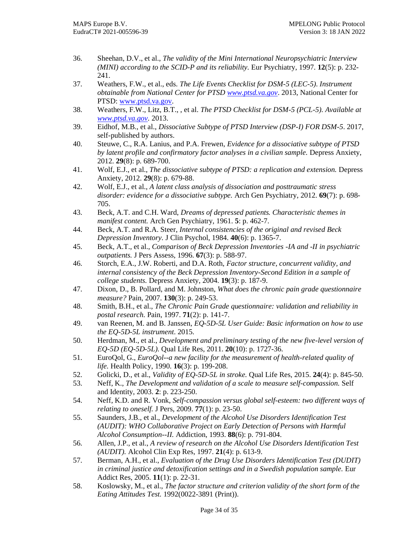- 36. Sheehan, D.V., et al., *The validity of the Mini International Neuropsychiatric Interview (MINI) according to the SCID-P and its reliability.* Eur Psychiatry, 1997. **12**(5): p. 232- 241.
- 37. Weathers, F.W., et al., eds. *The Life Events Checklist for DSM-5 (LEC-5). Instrument obtainable from National Center for PTSD [www.ptsd.va.gov](file:///C:/Users/solve/Downloads/www.ptsd.va.gov)*. 2013, National Center for PTSD[: www.ptsd.va.gov.](file:///C:/Users/solve/Downloads/www.ptsd.va.gov)
- 38. Weathers, F.W., Litz, B.T., , et al. *The PTSD Checklist for DSM-5 (PCL-5). Available at [www.ptsd.va.gov.](file:///C:/Users/solve/Downloads/www.ptsd.va.gov)* 2013.
- 39. Eidhof, M.B., et al., *Dissociative Subtype of PTSD Interview (DSP-I) FOR DSM-5*. 2017, self-published by authors.
- 40. Steuwe, C., R.A. Lanius, and P.A. Frewen, *Evidence for a dissociative subtype of PTSD by latent profile and confirmatory factor analyses in a civilian sample.* Depress Anxiety, 2012. **29**(8): p. 689-700.
- 41. Wolf, E.J., et al., *The dissociative subtype of PTSD: a replication and extension.* Depress Anxiety, 2012. **29**(8): p. 679-88.
- 42. Wolf, E.J., et al., *A latent class analysis of dissociation and posttraumatic stress disorder: evidence for a dissociative subtype.* Arch Gen Psychiatry, 2012. **69**(7): p. 698- 705.
- 43. Beck, A.T. and C.H. Ward, *Dreams of depressed patients. Characteristic themes in manifest content.* Arch Gen Psychiatry, 1961. **5**: p. 462-7.
- 44. Beck, A.T. and R.A. Steer, *Internal consistencies of the original and revised Beck Depression Inventory.* J Clin Psychol, 1984. **40**(6): p. 1365-7.
- 45. Beck, A.T., et al., *Comparison of Beck Depression Inventories -IA and -II in psychiatric outpatients.* J Pers Assess, 1996. **67**(3): p. 588-97.
- 46. Storch, E.A., J.W. Roberti, and D.A. Roth, *Factor structure, concurrent validity, and internal consistency of the Beck Depression Inventory-Second Edition in a sample of college students.* Depress Anxiety, 2004. **19**(3): p. 187-9.
- 47. Dixon, D., B. Pollard, and M. Johnston, *What does the chronic pain grade questionnaire measure?* Pain, 2007. **130**(3): p. 249-53.
- 48. Smith, B.H., et al., *The Chronic Pain Grade questionnaire: validation and reliability in postal research.* Pain, 1997. **71**(2): p. 141-7.
- 49. van Reenen, M. and B. Janssen, *EQ-5D-5L User Guide: Basic information on how to use the EQ-5D-5L instrument*. 2015.
- 50. Herdman, M., et al., *Development and preliminary testing of the new five-level version of EQ-5D (EQ-5D-5L).* Qual Life Res, 2011. **20**(10): p. 1727-36.
- 51. EuroQol, G., *EuroQol--a new facility for the measurement of health-related quality of life.* Health Policy, 1990. **16**(3): p. 199-208.
- <span id="page-33-0"></span>52. Golicki, D., et al., *Validity of EQ-5D-5L in stroke.* Qual Life Res, 2015. **24**(4): p. 845-50.
- <span id="page-33-1"></span>53. Neff, K., *The Development and validation of a scale to measure self-compassion.* Self and Identity, 2003. **2**: p. 223-250.
- <span id="page-33-2"></span>54. Neff, K.D. and R. Vonk, *Self-compassion versus global self-esteem: two different ways of relating to oneself.* J Pers, 2009. **77**(1): p. 23-50.
- <span id="page-33-3"></span>55. Saunders, J.B., et al., *Development of the Alcohol Use Disorders Identification Test (AUDIT): WHO Collaborative Project on Early Detection of Persons with Harmful Alcohol Consumption--II.* Addiction, 1993. **88**(6): p. 791-804.
- <span id="page-33-4"></span>56. Allen, J.P., et al., *A review of research on the Alcohol Use Disorders Identification Test (AUDIT).* Alcohol Clin Exp Res, 1997. **21**(4): p. 613-9.
- <span id="page-33-5"></span>57. Berman, A.H., et al., *Evaluation of the Drug Use Disorders Identification Test (DUDIT) in criminal justice and detoxification settings and in a Swedish population sample.* Eur Addict Res, 2005. **11**(1): p. 22-31.
- 58. Koslowsky, M., et al., *The factor structure and criterion validity of the short form of the Eating Attitudes Test.* 1992(0022-3891 (Print)).